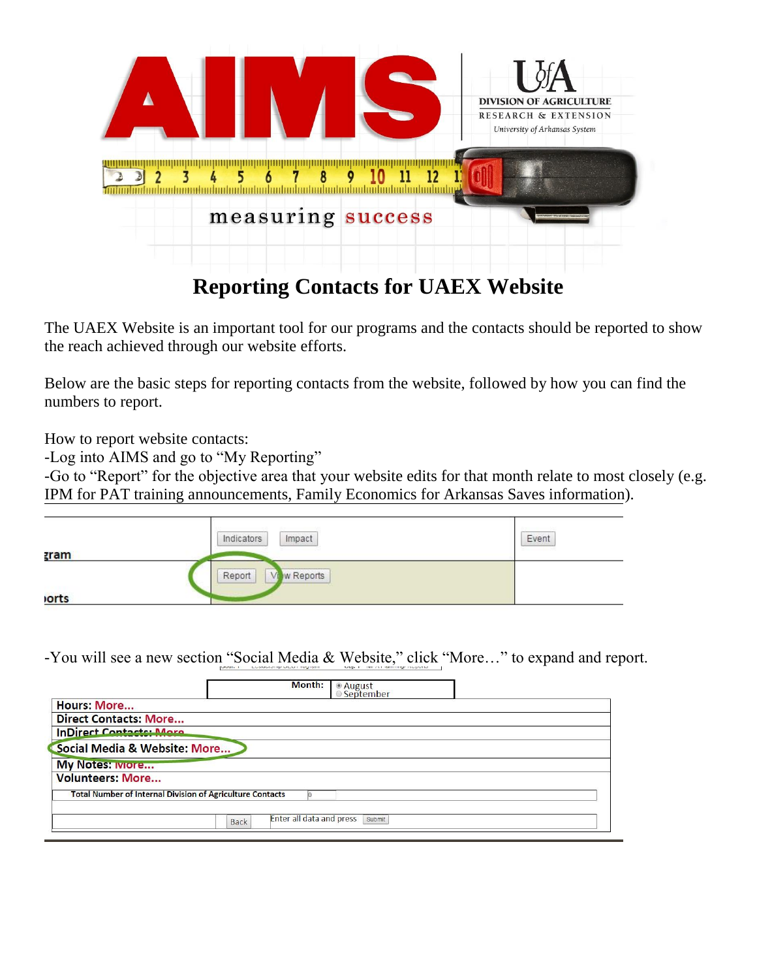

## **Reporting Contacts for UAEX Website**

The UAEX Website is an important tool for our programs and the contacts should be reported to show the reach achieved through our website efforts.

Below are the basic steps for reporting contacts from the website, followed by how you can find the numbers to report.

How to report website contacts:

-Log into AIMS and go to "My Reporting"

-Go to "Report" for the objective area that your website edits for that month relate to most closely (e.g. IPM for PAT training announcements, Family Economics for Arkansas Saves information).

|             | $Im$ pact<br>Indicators          | Event |
|-------------|----------------------------------|-------|
| <u>zram</u> | w Reports<br>Report<br><b>VI</b> |       |
| orts        |                                  |       |

-You will see a new section "Social Media & Website," click "More…" to expand and report.

|                                                                  | Month:                                         | ● August<br>◎ September |  |
|------------------------------------------------------------------|------------------------------------------------|-------------------------|--|
| <b>Hours: More</b>                                               |                                                |                         |  |
| <b>Direct Contacts: More</b>                                     |                                                |                         |  |
| <b>InDirect Contacts: More</b>                                   |                                                |                         |  |
| Social Media & Website: More                                     |                                                |                         |  |
| <b>My Notes: IVIOTE</b>                                          |                                                |                         |  |
| <b>Volunteers: More</b>                                          |                                                |                         |  |
| <b>Total Number of Internal Division of Agriculture Contacts</b> |                                                |                         |  |
|                                                                  | <b>Enter all data and press</b><br><b>Back</b> | Submit                  |  |